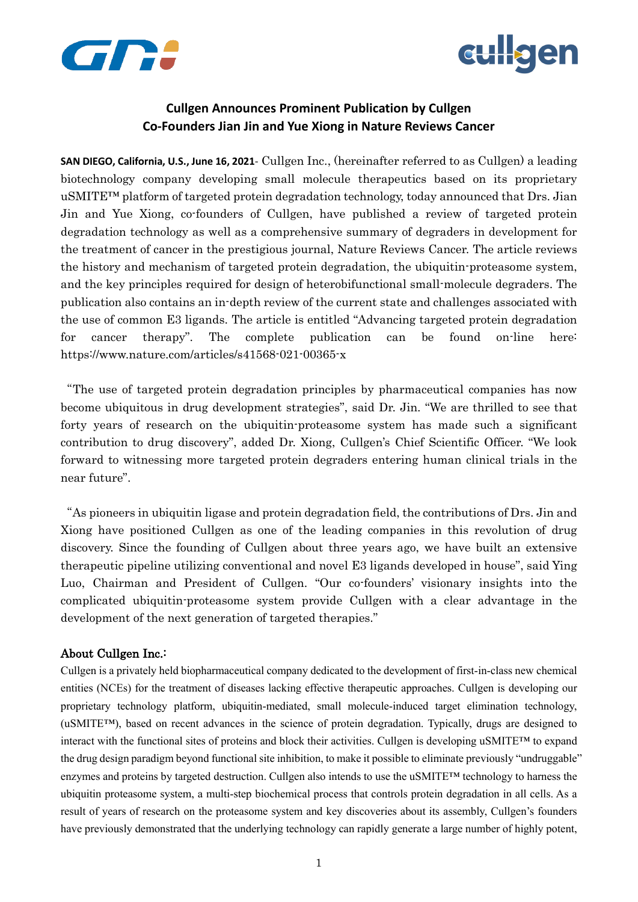



## **Cullgen Announces Prominent Publication by Cullgen Co-Founders Jian Jin and Yue Xiong in Nature Reviews Cancer**

**SAN DIEGO, California, U.S., June 16, 2021**- Cullgen Inc., (hereinafter referred to as Cullgen) a leading biotechnology company developing small molecule therapeutics based on its proprietary uSMITE™ platform of targeted protein degradation technology, today announced that Drs. Jian Jin and Yue Xiong, co-founders of Cullgen, have published a review of targeted protein degradation technology as well as a comprehensive summary of degraders in development for the treatment of cancer in the prestigious journal, Nature Reviews Cancer. The article reviews the history and mechanism of targeted protein degradation, the ubiquitin-proteasome system, and the key principles required for design of heterobifunctional small-molecule degraders. The publication also contains an in-depth review of the current state and challenges associated with the use of common E3 ligands. The article is entitled "Advancing targeted protein degradation for cancer therapy". The complete publication can be found on-line here: https://www.nature.com/articles/s41568-021-00365-x

"The use of targeted protein degradation principles by pharmaceutical companies has now become ubiquitous in drug development strategies", said Dr. Jin. "We are thrilled to see that forty years of research on the ubiquitin-proteasome system has made such a significant contribution to drug discovery", added Dr. Xiong, Cullgen's Chief Scientific Officer. "We look forward to witnessing more targeted protein degraders entering human clinical trials in the near future".

"As pioneers in ubiquitin ligase and protein degradation field, the contributions of Drs. Jin and Xiong have positioned Cullgen as one of the leading companies in this revolution of drug discovery. Since the founding of Cullgen about three years ago, we have built an extensive therapeutic pipeline utilizing conventional and novel E3 ligands developed in house", said Ying Luo, Chairman and President of Cullgen. "Our co-founders' visionary insights into the complicated ubiquitin-proteasome system provide Cullgen with a clear advantage in the development of the next generation of targeted therapies."

## About Cullgen Inc.:

Cullgen is a privately held biopharmaceutical company dedicated to the development of first-in-class new chemical entities (NCEs) for the treatment of diseases lacking effective therapeutic approaches. Cullgen is developing our proprietary technology platform, ubiquitin-mediated, small molecule-induced target elimination technology, (uSMITE™), based on recent advances in the science of protein degradation. Typically, drugs are designed to interact with the functional sites of proteins and block their activities. Cullgen is developing uSMITE™ to expand the drug design paradigm beyond functional site inhibition, to make it possible to eliminate previously "undruggable" enzymes and proteins by targeted destruction. Cullgen also intends to use the uSMITE<sup>TM</sup> technology to harness the ubiquitin proteasome system, a multi-step biochemical process that controls protein degradation in all cells. As a result of years of research on the proteasome system and key discoveries about its assembly, Cullgen's founders have previously demonstrated that the underlying technology can rapidly generate a large number of highly potent,